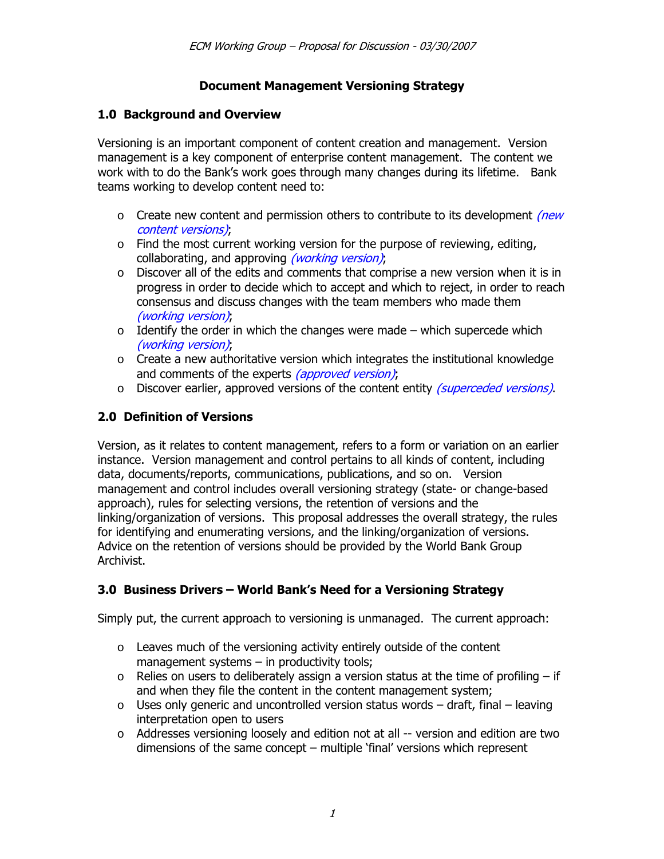### **Document Management Versioning Strategy**

### **1.0 Background and Overview**

Versioning is an important component of content creation and management. Version management is a key component of enterprise content management. The content we work with to do the Bankís work goes through many changes during its lifetime. Bank teams working to develop content need to:

- $\circ$  Create new content and permission others to contribute to its development *(new*) content versions),
- $\circ$  Find the most current working version for the purpose of reviewing, editing, collaborating, and approving *(working version)*;
- $\circ$  Discover all of the edits and comments that comprise a new version when it is in progress in order to decide which to accept and which to reject, in order to reach consensus and discuss changes with the team members who made them (working version),
- $\circ$  Identify the order in which the changes were made which supercede which (working version),
- $\circ$  Create a new authoritative version which integrates the institutional knowledge and comments of the experts (approved version),
- o Discover earlier, approved versions of the content entity (superceded versions).

## **2.0 Definition of Versions**

Version, as it relates to content management, refers to a form or variation on an earlier instance. Version management and control pertains to all kinds of content, including data, documents/reports, communications, publications, and so on. Version management and control includes overall versioning strategy (state- or change-based approach), rules for selecting versions, the retention of versions and the linking/organization of versions. This proposal addresses the overall strategy, the rules for identifying and enumerating versions, and the linking/organization of versions. Advice on the retention of versions should be provided by the World Bank Group Archivist.

## **3.0 Business Drivers – World Bank's Need for a Versioning Strategy**

Simply put, the current approach to versioning is unmanaged. The current approach:

- $\circ$  Leaves much of the versioning activity entirely outside of the content management systems  $-$  in productivity tools;
- $\circ$  Relies on users to deliberately assign a version status at the time of profiling if and when they file the content in the content management system;
- $\circ$  Uses only generic and uncontrolled version status words draft, final leaving interpretation open to users
- o Addresses versioning loosely and edition not at all -- version and edition are two dimensions of the same concept  $-$  multiple 'final' versions which represent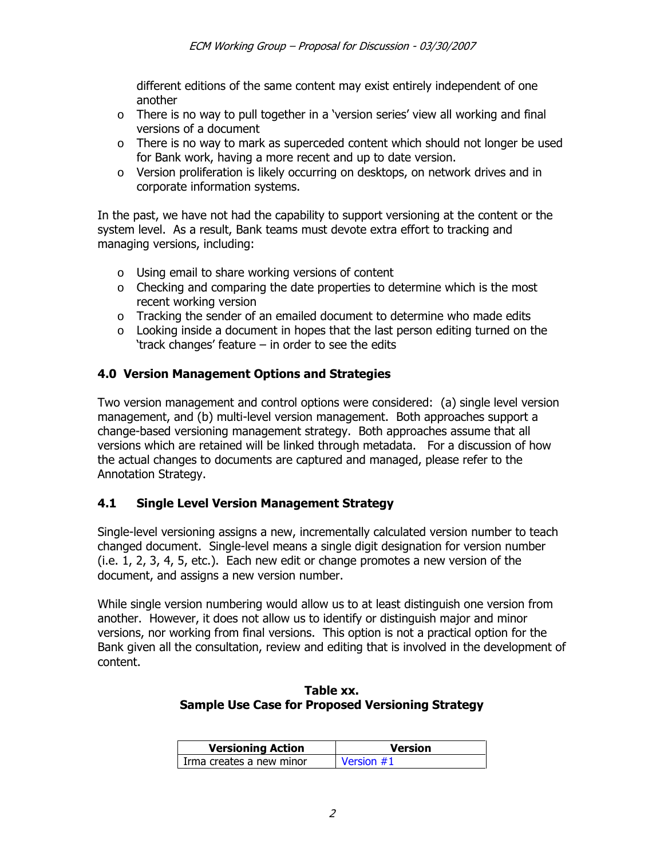different editions of the same content may exist entirely independent of one another

- $\circ$  There is no way to pull together in a 'version series' view all working and final versions of a document
- $\circ$  There is no way to mark as superceded content which should not longer be used for Bank work, having a more recent and up to date version.
- $\circ$  Version proliferation is likely occurring on desktops, on network drives and in corporate information systems.

In the past, we have not had the capability to support versioning at the content or the system level. As a result, Bank teams must devote extra effort to tracking and managing versions, including:

- o Using email to share working versions of content
- $\circ$  Checking and comparing the date properties to determine which is the most recent working version
- o Tracking the sender of an emailed document to determine who made edits
- o Looking inside a document in hopes that the last person editing turned on the 'track changes' feature  $-$  in order to see the edits

### **4.0 Version Management Options and Strategies**

Two version management and control options were considered: (a) single level version management, and (b) multi-level version management. Both approaches support a change-based versioning management strategy. Both approaches assume that all versions which are retained will be linked through metadata. For a discussion of how the actual changes to documents are captured and managed, please refer to the Annotation Strategy.

### **4.1 Single Level Version Management Strategy**

Single-level versioning assigns a new, incrementally calculated version number to teach changed document. Single-level means a single digit designation for version number (i.e. 1, 2, 3, 4, 5, etc.). Each new edit or change promotes a new version of the document, and assigns a new version number.

While single version numbering would allow us to at least distinguish one version from another. However, it does not allow us to identify or distinguish major and minor versions, nor working from final versions. This option is not a practical option for the Bank given all the consultation, review and editing that is involved in the development of content.

#### **Table xx. Sample Use Case for Proposed Versioning Strategy**

| <b>Versioning Action</b> | <b>Version</b> |  |
|--------------------------|----------------|--|
| Irma creates a new minor | Version $#1$   |  |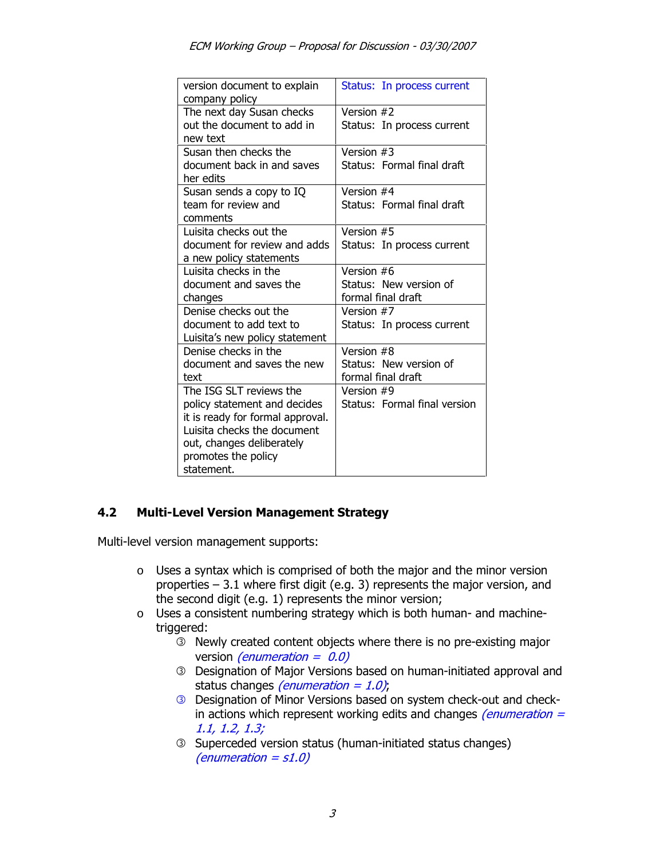| version document to explain<br>company policy                                                                                                                                                | Status: In process current                                 |
|----------------------------------------------------------------------------------------------------------------------------------------------------------------------------------------------|------------------------------------------------------------|
| The next day Susan checks<br>out the document to add in<br>new text                                                                                                                          | Version #2<br>Status: In process current                   |
| Susan then checks the<br>document back in and saves<br>her edits                                                                                                                             | Version #3<br>Status: Formal final draft                   |
| Susan sends a copy to IQ<br>team for review and<br>comments                                                                                                                                  | Version #4<br>Status: Formal final draft                   |
| Luisita checks out the<br>document for review and adds<br>a new policy statements                                                                                                            | Version #5<br>Status: In process current                   |
| Luisita checks in the<br>document and saves the<br>changes                                                                                                                                   | Version #6<br>Status: New version of<br>formal final draft |
| Denise checks out the<br>document to add text to<br>Luisita's new policy statement                                                                                                           | Version #7<br>Status: In process current                   |
| Denise checks in the<br>document and saves the new<br>text                                                                                                                                   | Version #8<br>Status: New version of<br>formal final draft |
| The ISG SLT reviews the<br>policy statement and decides<br>it is ready for formal approval.<br>Luisita checks the document<br>out, changes deliberately<br>promotes the policy<br>statement. | Version #9<br>Status: Formal final version                 |

## **4.2 Multi-Level Version Management Strategy**

Multi-level version management supports:

- o Uses a syntax which is comprised of both the major and the minor version properties  $-3.1$  where first digit (e.g. 3) represents the major version, and the second digit (e.g. 1) represents the minor version;
- o Uses a consistent numbering strategy which is both human- and machinetriggered:
	- **EXECUTE:** Newly created content objects where there is no pre-existing major version *(enumeration =*  $0.0$ *)*
	- **E** Designation of Major Versions based on human-initiated approval and status changes *(enumeration = 1.0)*;
	- **E** Designation of Minor Versions based on system check-out and checkin actions which represent working edits and changes *(enumeration =*  $1.1, 1.2, 1.3;$
	- **EXECUTE:** Superceded version status (human-initiated status changes) (enumeration =  $s1.0$ )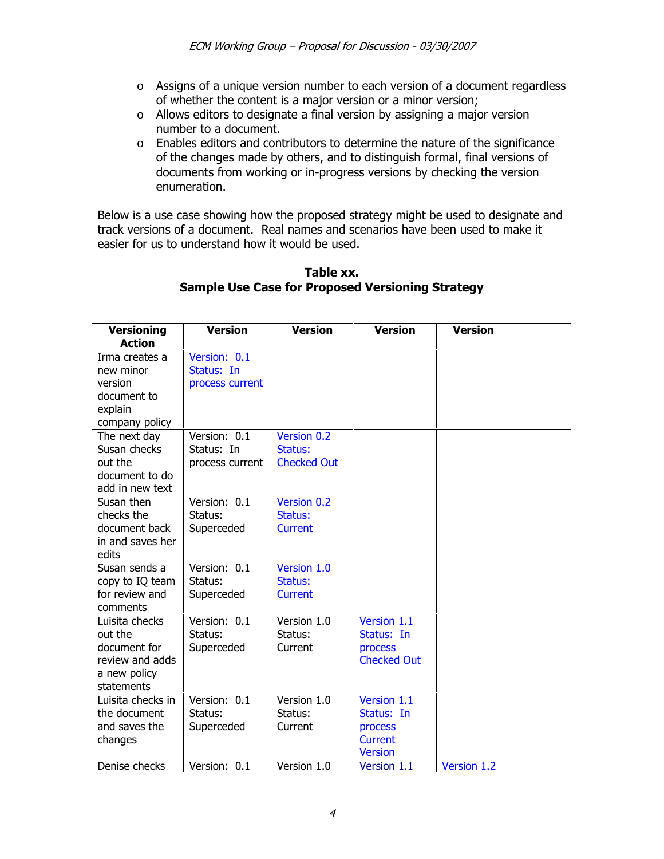- o Assigns of a unique version number to each version of a document regardless of whether the content is a major version or a minor version;
- o Allows editors to designate a final version by assigning a major version number to a document.
- o Enables editors and contributors to determine the nature of the significance of the changes made by others, and to distinguish formal, final versions of documents from working or in-progress versions by checking the version enumeration.

Below is a use case showing how the proposed strategy might be used to designate and track versions of a document. Real names and scenarios have been used to make it easier for us to understand how it would be used.

| <b>Versioning</b>                                                                                                                                                | <b>Version</b>                                                                                 | <b>Version</b>                                   | <b>Version</b>                                                                          | <b>Version</b> |  |
|------------------------------------------------------------------------------------------------------------------------------------------------------------------|------------------------------------------------------------------------------------------------|--------------------------------------------------|-----------------------------------------------------------------------------------------|----------------|--|
| <b>Action</b><br>Irma creates a<br>new minor<br>version<br>document to<br>explain<br>company policy<br>The next day<br>Susan checks<br>out the<br>document to do | Version: 0.1<br>Status: In<br>process current<br>Version: 0.1<br>Status: In<br>process current | Version 0.2<br>Status:<br><b>Checked Out</b>     |                                                                                         |                |  |
| add in new text<br>Susan then<br>checks the<br>document back<br>in and saves her<br>edits                                                                        | Version: 0.1<br>Status:<br>Superceded                                                          | Version 0.2<br>Status:<br><b>Current</b>         |                                                                                         |                |  |
| Susan sends a<br>copy to IQ team<br>for review and<br>comments                                                                                                   | Version: 0.1<br>Status:<br>Superceded                                                          | Version 1.0<br>Status:<br><b>Current</b>         |                                                                                         |                |  |
| Luisita checks<br>out the<br>document for<br>review and adds<br>a new policy<br>statements                                                                       | Version: 0.1<br>Status:<br>Superceded                                                          | Version 1.0<br>Status:<br>Current                | Version 1.1<br>Status: In<br>process<br><b>Checked Out</b>                              |                |  |
| Luisita checks in<br>the document<br>and saves the<br>changes<br>Denise checks                                                                                   | Version: 0.1<br>Status:<br>Superceded<br>Version: 0.1                                          | Version 1.0<br>Status:<br>Current<br>Version 1.0 | Version 1.1<br>Status: In<br>process<br><b>Current</b><br><b>Version</b><br>Version 1.1 | Version 1.2    |  |

#### **Table xx. Sample Use Case for Proposed Versioning Strategy**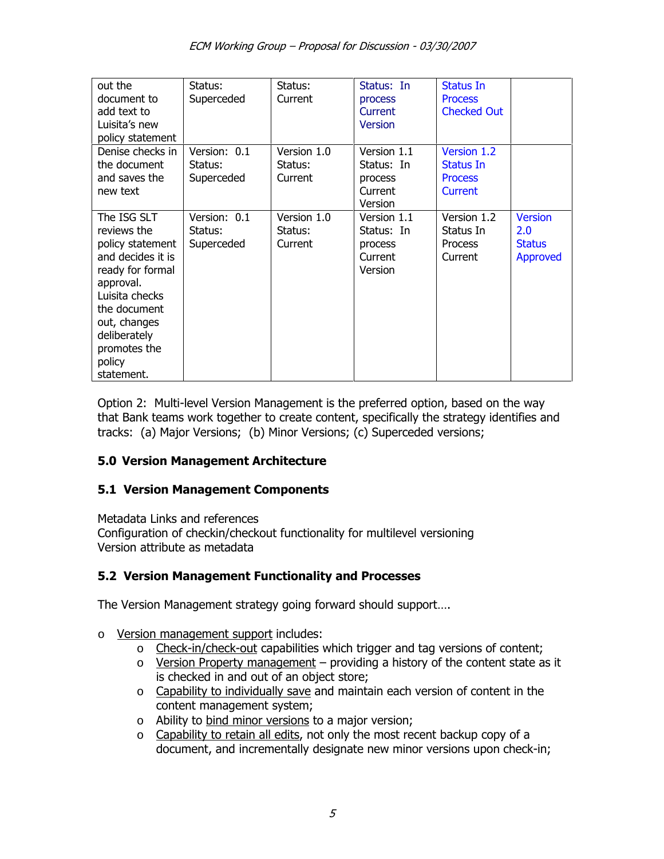| out the<br>document to<br>add text to<br>Luisita's new<br>policy statement                                                                                                                                     | Status:<br>Superceded                 | Status:<br>Current                | Status: In<br>process<br>Current<br><b>Version</b>         | Status In<br><b>Process</b><br><b>Checked Out</b>     |                                                    |
|----------------------------------------------------------------------------------------------------------------------------------------------------------------------------------------------------------------|---------------------------------------|-----------------------------------|------------------------------------------------------------|-------------------------------------------------------|----------------------------------------------------|
| Denise checks in<br>the document<br>and saves the<br>new text                                                                                                                                                  | Version: 0.1<br>Status:<br>Superceded | Version 1.0<br>Status:<br>Current | Version 1.1<br>Status: In<br>process<br>Current<br>Version | Version 1.2<br>Status In<br><b>Process</b><br>Current |                                                    |
| The ISG SLT<br>reviews the<br>policy statement<br>and decides it is<br>ready for formal<br>approval.<br>Luisita checks<br>the document<br>out, changes<br>deliberately<br>promotes the<br>policy<br>statement. | Version: 0.1<br>Status:<br>Superceded | Version 1.0<br>Status:<br>Current | Version 1.1<br>Status: In<br>process<br>Current<br>Version | Version 1.2<br>Status In<br><b>Process</b><br>Current | <b>Version</b><br>2.0<br><b>Status</b><br>Approved |

Option 2: Multi-level Version Management is the preferred option, based on the way that Bank teams work together to create content, specifically the strategy identifies and tracks: (a) Major Versions; (b) Minor Versions; (c) Superceded versions;

## **5.0 Version Management Architecture**

### **5.1 Version Management Components**

Metadata Links and references Configuration of checkin/checkout functionality for multilevel versioning Version attribute as metadata

### **5.2 Version Management Functionality and Processes**

The Version Management strategy going forward should support....

- o Version management support includes:
	- o Check-in/check-out capabilities which trigger and tag versions of content;
	- $\circ$  Version Property management providing a history of the content state as it is checked in and out of an object store;
	- o Capability to individually save and maintain each version of content in the content management system;
	- o Ability to bind minor versions to a major version;
	- o Capability to retain all edits, not only the most recent backup copy of a document, and incrementally designate new minor versions upon check-in;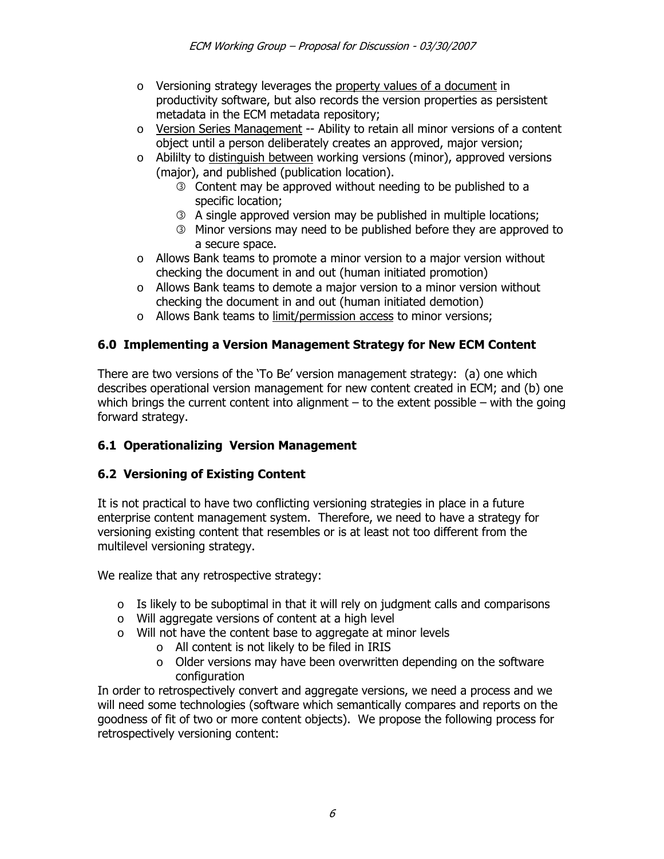- o Versioning strategy leverages the property values of a document in productivity software, but also records the version properties as persistent metadata in the ECM metadata repository;
- $\circ$  Version Series Management -- Ability to retain all minor versions of a content object until a person deliberately creates an approved, major version;
- $\circ$  Abililty to distinguish between working versions (minor), approved versions (major), and published (publication location).
	- **EXECO** Content may be approved without needing to be published to a specific location;
	- **EX A single approved version may be published in multiple locations;**
	- **EXECUTE:** Minor versions may need to be published before they are approved to a secure space.
- $\circ$  Allows Bank teams to promote a minor version to a major version without checking the document in and out (human initiated promotion)
- o Allows Bank teams to demote a major version to a minor version without checking the document in and out (human initiated demotion)
- o Allows Bank teams to limit/permission access to minor versions;

# **6.0 Implementing a Version Management Strategy for New ECM Content**

There are two versions of the  $T$ o Be' version management strategy: (a) one which describes operational version management for new content created in ECM; and (b) one which brings the current content into alignment  $-$  to the extent possible  $-$  with the going forward strategy.

## **6.1 Operationalizing Version Management**

## **6.2 Versioning of Existing Content**

It is not practical to have two conflicting versioning strategies in place in a future enterprise content management system. Therefore, we need to have a strategy for versioning existing content that resembles or is at least not too different from the multilevel versioning strategy.

We realize that any retrospective strategy:

- $\circ$  Is likely to be suboptimal in that it will rely on judgment calls and comparisons
- o Will aggregate versions of content at a high level
- o Will not have the content base to aggregate at minor levels
	- o All content is not likely to be filed in IRIS
	- o Older versions may have been overwritten depending on the software configuration

In order to retrospectively convert and aggregate versions, we need a process and we will need some technologies (software which semantically compares and reports on the goodness of fit of two or more content objects). We propose the following process for retrospectively versioning content: